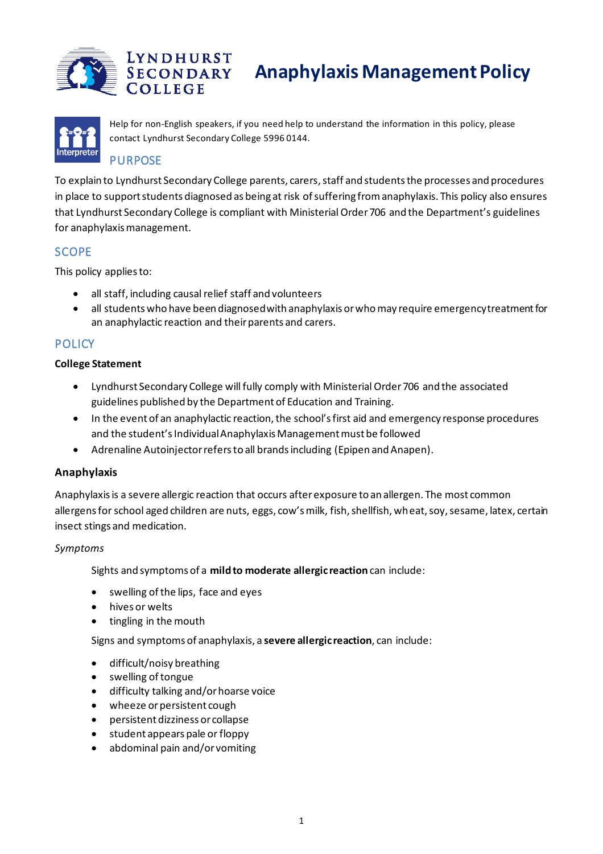



Help for non-English speakers, if you need help to understand the information in this policy, please contact Lyndhurst Secondary College 5996 0144.

# PURPOSE

To explain to Lyndhurst Secondary College parents, carers, staff and students the processes and procedures in place to support students diagnosed as being at risk of suffering from anaphylaxis. This policy also ensures that Lyndhurst Secondary College is compliant with Ministerial Order 706 and the Department's guidelines for anaphylaxis management.

# **SCOPE**

This policy applies to:

- all staff, including causal relief staff and volunteers
- all students who have been diagnosed with anaphylaxis or who may require emergency treatment for an anaphylactic reaction and their parents and carers.

# **POLICY**

## **College Statement**

- Lyndhurst Secondary College will fully comply with Ministerial Order 706 and the associated guidelines published by the Department of Education and Training.
- In the event of an anaphylactic reaction, the school's first aid and emergency response procedures and the student's Individual Anaphylaxis Management must be followed
- Adrenaline Autoinjector refers to all brands including (Epipen and Anapen).

# **Anaphylaxis**

Anaphylaxis is a severe allergic reaction that occurs after exposure to an allergen. The most common allergens for school aged children are nuts, eggs, cow's milk, fish, shellfish, wheat, soy, sesame, latex, certain insect stings and medication.

## *Symptoms*

Sights and symptoms of a **mild to moderate allergic reaction** can include:

- swelling of the lips, face and eyes
- hives or welts
- tingling in the mouth

Signs and symptoms of anaphylaxis, a **severe allergic reaction**, can include:

- difficult/noisy breathing
- swelling of tongue
- difficulty talking and/or hoarse voice
- wheeze or persistent cough
- persistent dizziness or collapse
- student appears pale or floppy
- abdominal pain and/or vomiting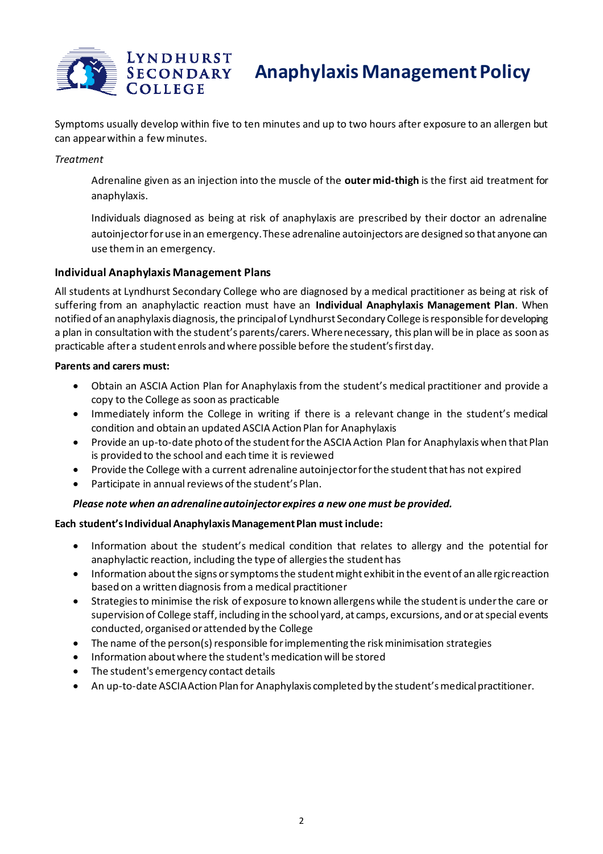

Symptoms usually develop within five to ten minutes and up to two hours after exposure to an allergen but can appear within a few minutes.

*Treatment*

Adrenaline given as an injection into the muscle of the **outer mid-thigh** is the first aid treatment for anaphylaxis.

Individuals diagnosed as being at risk of anaphylaxis are prescribed by their doctor an adrenaline autoinjector for use in an emergency. These adrenaline autoinjectors are designed so that anyone can use them in an emergency.

#### **Individual Anaphylaxis Management Plans**

All students at Lyndhurst Secondary College who are diagnosed by a medical practitioner as being at risk of suffering from an anaphylactic reaction must have an **Individual Anaphylaxis Management Plan**. When notified of an anaphylaxis diagnosis, the principal of Lyndhurst Secondary College is responsible for developing a plan in consultation with the student's parents/carers. Where necessary, this plan will be in place as soon as practicable after a student enrols and where possible before the student's first day.

#### **Parents and carers must:**

- Obtain an ASCIA Action Plan for Anaphylaxis from the student's medical practitioner and provide a copy to the College as soon as practicable
- Immediately inform the College in writing if there is a relevant change in the student's medical condition and obtain an updated ASCIA Action Plan for Anaphylaxis
- Provide an up-to-date photo of the student for the ASCIA Action Plan for Anaphylaxis when that Plan is provided to the school and each time it is reviewed
- Provide the College with a current adrenaline autoinjector for the student that has not expired
- Participate in annual reviews of the student's Plan.

#### *Please note when an adrenaline autoinjector expires a new one must be provided.*

#### **Each student's Individual Anaphylaxis Management Plan must include:**

- Information about the student's medical condition that relates to allergy and the potential for anaphylactic reaction, including the type of allergies the student has
- Information about the signs or symptoms the student might exhibit in the event of an alle rgic reaction based on a written diagnosis from a medical practitioner
- Strategies to minimise the risk of exposure to known allergens while the student is under the care or supervision of College staff, including in the school yard, at camps, excursions, and or at special events conducted, organised or attended by the College
- The name of the person(s) responsible for implementing the risk minimisation strategies
- Information about where the student's medication will be stored
- The student's emergency contact details
- An up-to-date ASCIA Action Plan for Anaphylaxis completed by the student's medical practitioner.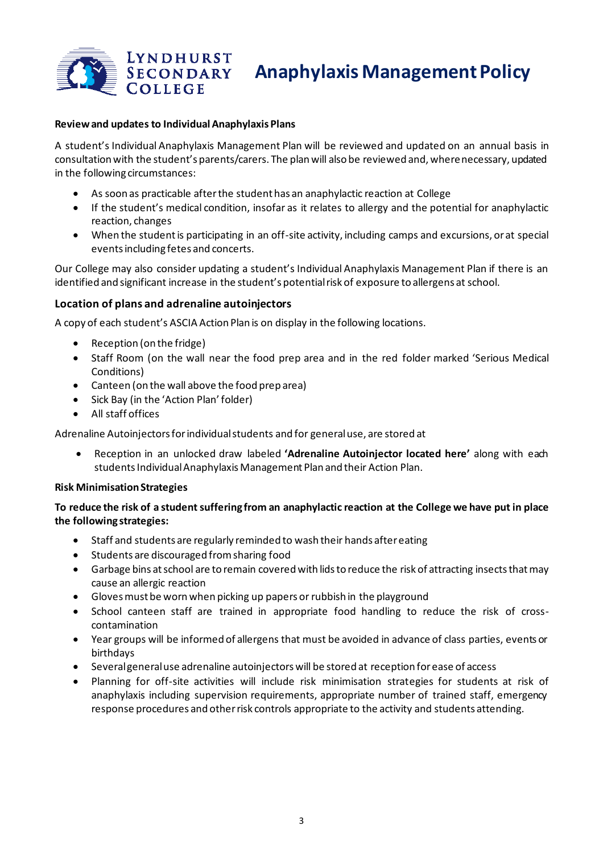

#### **Review and updates to Individual Anaphylaxis Plans**

A student's Individual Anaphylaxis Management Plan will be reviewed and updated on an annual basis in consultation with the student's parents/carers. The plan will also be reviewed and, where necessary, updated in the following circumstances:

- As soon as practicable after the student has an anaphylactic reaction at College
- If the student's medical condition, insofar as it relates to allergy and the potential for anaphylactic reaction, changes
- When the student is participating in an off-site activity, including camps and excursions, or at special events including fetes and concerts.

Our College may also consider updating a student's Individual Anaphylaxis Management Plan if there is an identified and significant increase in the student's potential risk of exposure to allergens at school.

### **Location of plans and adrenaline autoinjectors**

A copy of each student's ASCIA Action Plan is on display in the following locations.

- Reception (on the fridge)
- Staff Room (on the wall near the food prep area and in the red folder marked 'Serious Medical Conditions)
- Canteen (on the wall above the food prep area)
- Sick Bay (in the 'Action Plan' folder)
- All staff offices

Adrenaline Autoinjectors for individual students and for general use, are stored at

• Reception in an unlocked draw labeled **'Adrenaline Autoinjector located here'** along with each students Individual Anaphylaxis Management Plan and their Action Plan.

#### **Risk Minimisation Strategies**

**To reduce the risk of a student suffering from an anaphylactic reaction at the College we have put in place the following strategies:**

- Staff and students are regularly reminded to wash their hands after eating
- Students are discouraged from sharing food
- Garbage bins at school are to remain covered with lids to reduce the risk of attracting insects that may cause an allergic reaction
- Gloves must be worn when picking up papers or rubbish in the playground
- School canteen staff are trained in appropriate food handling to reduce the risk of crosscontamination
- Year groups will be informed of allergens that must be avoided in advance of class parties, events or birthdays
- Several general use adrenaline autoinjectors will be stored at reception for ease of access
- Planning for off-site activities will include risk minimisation strategies for students at risk of anaphylaxis including supervision requirements, appropriate number of trained staff, emergency response procedures and other risk controls appropriate to the activity and students attending.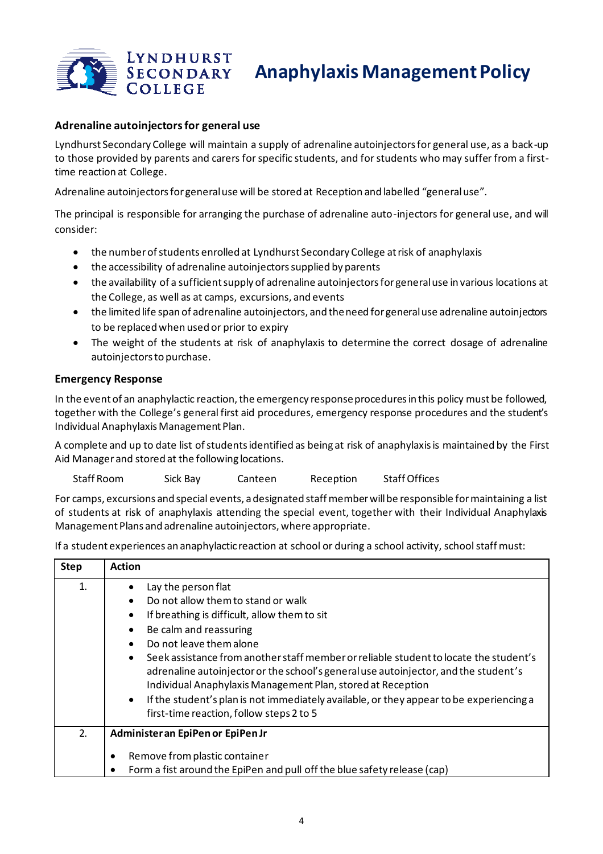

### **Adrenaline autoinjectors for general use**

Lyndhurst Secondary College will maintain a supply of adrenaline autoinjectors for general use, as a back-up to those provided by parents and carers for specific students, and for students who may suffer from a firsttime reaction at College.

Adrenaline autoinjectors for general use will be stored at Reception and labelled "general use".

The principal is responsible for arranging the purchase of adrenaline auto-injectors for general use, and will consider:

- the number of students enrolled at Lyndhurst Secondary College at risk of anaphylaxis
- the accessibility of adrenaline autoinjectors supplied by parents
- the availability of a sufficient supply of adrenaline autoinjectors for general use in various locations at the College, as well as at camps, excursions, and events
- the limited life span of adrenaline autoinjectors, and the need for general use adrenaline autoinjectors to be replaced when used or prior to expiry
- The weight of the students at risk of anaphylaxis to determine the correct dosage of adrenaline autoinjectors to purchase.

#### **Emergency Response**

In the event of an anaphylactic reaction, the emergency response procedures in this policy must be followed, together with the College's general first aid procedures, emergency response procedures and the student's Individual Anaphylaxis Management Plan.

A complete and up to date list of students identified as being at risk of anaphylaxis is maintained by the First Aid Manager and stored at the following locations.

Staff Room Sick Bay Canteen Reception Staff Offices

For camps, excursions and special events, a designated staff member will be responsible for maintaining a list of students at risk of anaphylaxis attending the special event, together with their Individual Anaphylaxis Management Plans and adrenaline autoinjectors, where appropriate.

If a student experiences an anaphylactic reaction at school or during a school activity, school staff must:

| <b>Step</b> | <b>Action</b>                                                                                                                                                                                                                                                                                                                                                                                                                                                                                                                                                                                            |  |
|-------------|----------------------------------------------------------------------------------------------------------------------------------------------------------------------------------------------------------------------------------------------------------------------------------------------------------------------------------------------------------------------------------------------------------------------------------------------------------------------------------------------------------------------------------------------------------------------------------------------------------|--|
| 1.          | Lay the person flat<br>Do not allow them to stand or walk<br>If breathing is difficult, allow them to sit<br>$\bullet$<br>Be calm and reassuring<br>$\bullet$<br>Do not leave them alone<br>Seek assistance from another staff member or reliable student to locate the student's<br>$\bullet$<br>adrenaline autoinjector or the school's general use autoinjector, and the student's<br>Individual Anaphylaxis Management Plan, stored at Reception<br>If the student's plan is not immediately available, or they appear to be experiencing a<br>$\bullet$<br>first-time reaction, follow steps 2 to 5 |  |
| 2.          | Administer an EpiPen or EpiPen Jr<br>Remove from plastic container                                                                                                                                                                                                                                                                                                                                                                                                                                                                                                                                       |  |
|             | Form a fist around the EpiPen and pull off the blue safety release (cap)                                                                                                                                                                                                                                                                                                                                                                                                                                                                                                                                 |  |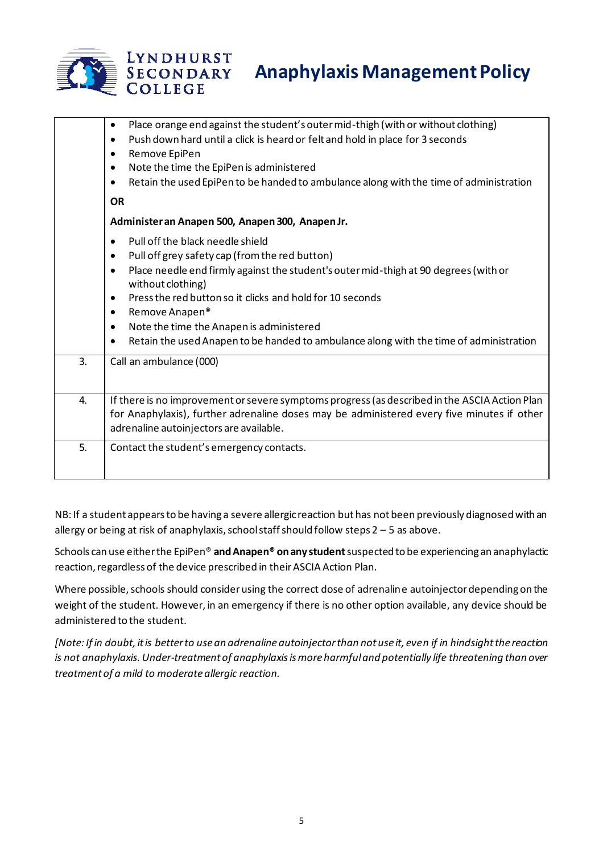

|    | Place orange end against the student's outer mid-thigh (with or without clothing)<br>$\bullet$<br>Push down hard until a click is heard or felt and hold in place for 3 seconds<br>$\bullet$<br>Remove EpiPen<br>$\bullet$<br>Note the time the EpiPen is administered<br>$\bullet$<br>Retain the used EpiPen to be handed to ambulance along with the time of administration<br>$\bullet$<br><b>OR</b>                                                                                                         |
|----|-----------------------------------------------------------------------------------------------------------------------------------------------------------------------------------------------------------------------------------------------------------------------------------------------------------------------------------------------------------------------------------------------------------------------------------------------------------------------------------------------------------------|
|    | Administer an Anapen 500, Anapen 300, Anapen Jr.                                                                                                                                                                                                                                                                                                                                                                                                                                                                |
|    | Pull off the black needle shield<br>$\bullet$<br>Pull off grey safety cap (from the red button)<br>$\bullet$<br>Place needle end firmly against the student's outer mid-thigh at 90 degrees (with or<br>$\bullet$<br>without clothing)<br>Press the red button so it clicks and hold for 10 seconds<br>$\bullet$<br>Remove Anapen®<br>$\bullet$<br>Note the time the Anapen is administered<br>$\bullet$<br>Retain the used Anapen to be handed to ambulance along with the time of administration<br>$\bullet$ |
| 3. | Call an ambulance (000)                                                                                                                                                                                                                                                                                                                                                                                                                                                                                         |
| 4. | If there is no improvement or severe symptoms progress (as described in the ASCIA Action Plan<br>for Anaphylaxis), further adrenaline doses may be administered every five minutes if other<br>adrenaline autoinjectors are available.                                                                                                                                                                                                                                                                          |
| 5. | Contact the student's emergency contacts.                                                                                                                                                                                                                                                                                                                                                                                                                                                                       |
|    |                                                                                                                                                                                                                                                                                                                                                                                                                                                                                                                 |

NB: If a student appears to be having a severe allergic reaction but has not been previously diagnosed with an allergy or being at risk of anaphylaxis, school staff should follow steps 2 – 5 as above.

Schools can use either the EpiPen® **and Anapen® on any student** suspected to be experiencing an anaphylactic reaction, regardless of the device prescribed in their ASCIA Action Plan.

Where possible, schools should consider using the correct dose of adrenaline autoinjector depending on the weight of the student. However, in an emergency if there is no other option available, any device should be administered to the student.

*[Note: If in doubt, it is better to use an adrenaline autoinjector than not use it, even if in hindsight the reaction is not anaphylaxis. Under-treatment of anaphylaxis is more harmful and potentially life threatening than over treatment of a mild to moderate allergic reaction.*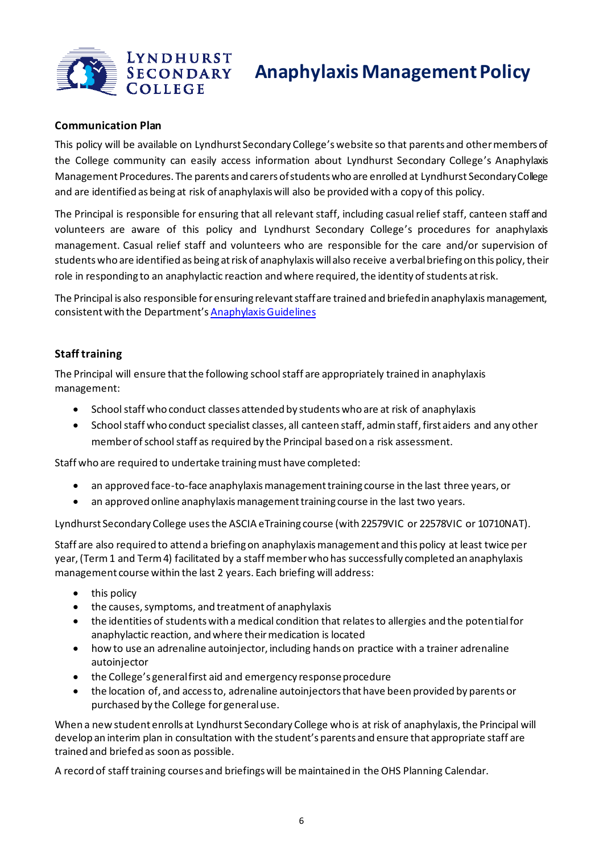

### **Communication Plan**

This policy will be available on Lyndhurst Secondary College's website so that parents and other members of the College community can easily access information about Lyndhurst Secondary College's Anaphylaxis Management Procedures. The parents and carers of students who are enrolled at Lyndhurst Secondary College and are identified as being at risk of anaphylaxis will also be provided with a copy of this policy.

The Principal is responsible for ensuring that all relevant staff, including casual relief staff, canteen staff and volunteers are aware of this policy and Lyndhurst Secondary College's procedures for anaphylaxis management. Casual relief staff and volunteers who are responsible for the care and/or supervision of students who are identified as being at risk of anaphylaxis will also receive a verbal briefing on this policy, their role in responding to an anaphylactic reaction and where required, the identity of students at risk.

The Principal is also responsible for ensuring relevant staff are trained and briefed in anaphylaxis management, consistent with the Department's Anaphylaxis Guidelines

## **Staff training**

The Principal will ensure that the following school staff are appropriately trained in anaphylaxis management:

- School staff who conduct classes attended by students who are at risk of anaphylaxis
- School staff who conduct specialist classes, all canteen staff, admin staff, first aiders and any other member of school staff as required by the Principal based on a risk assessment.

Staff who are required to undertake training must have completed:

- an approved face-to-face anaphylaxis management training course in the last three years, or
- an approved online anaphylaxis management training course in the last two years.

Lyndhurst Secondary College usesthe ASCIA eTraining course (with 22579VIC or 22578VIC or 10710NAT).

Staff are also required to attend a briefing on anaphylaxis management and this policy at least twice per year, (Term 1 and Term 4) facilitated by a staff member who has successfully completed an anaphylaxis management course within the last 2 years. Each briefing will address:

- this policy
- the causes, symptoms, and treatment of anaphylaxis
- the identities of students with a medical condition that relates to allergies and the potential for anaphylactic reaction, and where their medication is located
- how to use an adrenaline autoinjector, including hands on practice with a trainer adrenaline autoinjector
- the College's general first aid and emergency response procedure
- the location of, and access to, adrenaline autoinjectors that have been provided by parents or purchased by the College for general use.

When a new student enrolls at Lyndhurst Secondary College who is at risk of anaphylaxis, the Principal will develop an interim plan in consultation with the student's parents and ensure that appropriate staff are trained and briefed as soon as possible.

A record of staff training courses and briefings will be maintained in the OHS Planning Calendar.